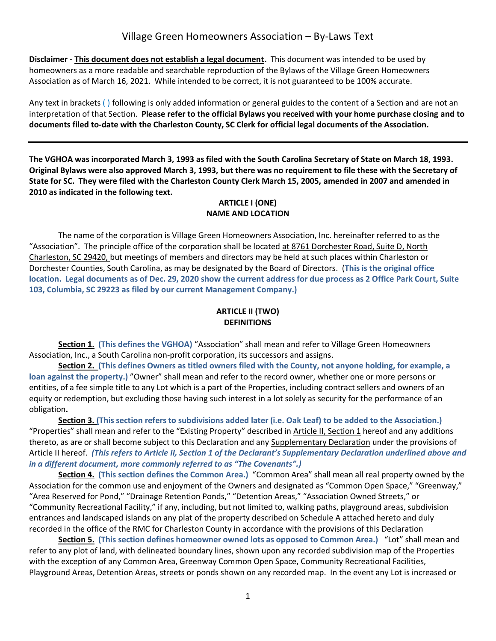**Disclaimer - This document does not establish a legal document.** This document was intended to be used by homeowners as a more readable and searchable reproduction of the Bylaws of the Village Green Homeowners Association as of March 16, 2021. While intended to be correct, it is not guaranteed to be 100% accurate.

Any text in brackets ( ) following is only added information or general guides to the content of a Section and are not an interpretation of that Section. **Please refer to the official Bylaws you received with your home purchase closing and to documents filed to-date with the Charleston County, SC Clerk for official legal documents of the Association.** 

**The VGHOA was incorporated March 3, 1993 as filed with the South Carolina Secretary of State on March 18, 1993. Original Bylaws were also approved March 3, 1993, but there was no requirement to file these with the Secretary of State for SC. They were filed with the Charleston County Clerk March 15, 2005, amended in 2007 and amended in 2010 as indicated in the following text.**

#### **ARTICLE I (ONE) NAME AND LOCATION**

The name of the corporation is Village Green Homeowners Association, Inc. hereinafter referred to as the "Association". The principle office of the corporation shall be located at 8761 Dorchester Road, Suite D, North Charleston, SC 29420, but meetings of members and directors may be held at such places within Charleston or Dorchester Counties, South Carolina, as may be designated by the Board of Directors. (**This is the original office location. Legal documents as of Dec. 29, 2020 show the current address for due process as 2 Office Park Court, Suite 103, Columbia, SC 29223 as filed by our current Management Company.)**

### **ARTICLE II (TWO) DEFINITIONS**

**Section 1. (This defines the VGHOA)** "Association" shall mean and refer to Village Green Homeowners Association, Inc., a South Carolina non-profit corporation, its successors and assigns.

**Section 2. (This defines Owners as titled owners filed with the County, not anyone holding, for example, a loan against the property.)** "Owner" shall mean and refer to the record owner, whether one or more persons or entities, of a fee simple title to any Lot which is a part of the Properties, including contract sellers and owners of an equity or redemption, but excluding those having such interest in a lot solely as security for the performance of an obligation**.**

**Section 3. (This section refers to subdivisions added later (i.e. Oak Leaf) to be added to the Association.)** "Properties" shall mean and refer to the "Existing Property" described in Article II, Section 1 hereof and any additions thereto, as are or shall become subject to this Declaration and any Supplementary Declaration under the provisions of Article II hereof. *(This refers to Article II, Section 1 of the Declarant's Supplementary Declaration underlined above and in a different document, more commonly referred to as "The Covenants".)*

**Section 4. (This section defines the Common Area.)** "Common Area" shall mean all real property owned by the Association for the common use and enjoyment of the Owners and designated as "Common Open Space," "Greenway," "Area Reserved for Pond," "Drainage Retention Ponds," "Detention Areas," "Association Owned Streets," or "Community Recreational Facility," if any, including, but not limited to, walking paths, playground areas, subdivision entrances and landscaped islands on any plat of the property described on Schedule A attached hereto and duly recorded in the office of the RMC for Charleston County in accordance with the provisions of this Declaration

**Section 5. (This section defines homeowner owned lots as opposed to Common Area.)** "Lot" shall mean and refer to any plot of land, with delineated boundary lines, shown upon any recorded subdivision map of the Properties with the exception of any Common Area, Greenway Common Open Space, Community Recreational Facilities, Playground Areas, Detention Areas, streets or ponds shown on any recorded map. In the event any Lot is increased or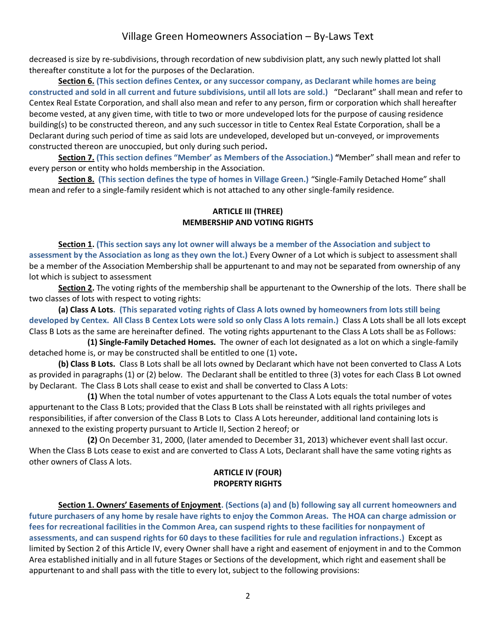decreased is size by re-subdivisions, through recordation of new subdivision platt, any such newly platted lot shall thereafter constitute a lot for the purposes of the Declaration.

**Section 6. (This section defines Centex, or any successor company, as Declarant while homes are being constructed and sold in all current and future subdivisions, until all lots are sold.)** "Declarant" shall mean and refer to Centex Real Estate Corporation, and shall also mean and refer to any person, firm or corporation which shall hereafter become vested, at any given time, with title to two or more undeveloped lots for the purpose of causing residence building(s) to be constructed thereon, and any such successor in title to Centex Real Estate Corporation, shall be a Declarant during such period of time as said lots are undeveloped, developed but un-conveyed, or improvements constructed thereon are unoccupied, but only during such period**.**

**Section 7. (This section defines "Member' as Members of the Association.) "**Member" shall mean and refer to every person or entity who holds membership in the Association.

**Section 8. (This section defines the type of homes in Village Green.)** "Single-Family Detached Home" shall mean and refer to a single-family resident which is not attached to any other single-family residence.

### **ARTICLE III (THREE) MEMBERSHIP AND VOTING RIGHTS**

**Section 1. (This section says any lot owner will always be a member of the Association and subject to assessment by the Association as long as they own the lot.)** Every Owner of a Lot which is subject to assessment shall be a member of the Association Membership shall be appurtenant to and may not be separated from ownership of any lot which is subject to assessment

**Section 2.** The voting rights of the membership shall be appurtenant to the Ownership of the lots. There shall be two classes of lots with respect to voting rights:

**(a) Class A Lots. (This separated voting rights of Class A lots owned by homeowners from lots still being developed by Centex. All Class B Centex Lots were sold so only Class A lots remain.)** Class A Lots shall be all lots except Class B Lots as the same are hereinafter defined. The voting rights appurtenant to the Class A Lots shall be as Follows:

**(1) Single-Family Detached Homes.** The owner of each lot designated as a lot on which a single-family detached home is, or may be constructed shall be entitled to one (1) vote**.**

**(b) Class B Lots.** Class B Lots shall be all lots owned by Declarant which have not been converted to Class A Lots as provided in paragraphs (1) or (2) below. The Declarant shall be entitled to three (3) votes for each Class B Lot owned by Declarant. The Class B Lots shall cease to exist and shall be converted to Class A Lots:

**(1)** When the total number of votes appurtenant to the Class A Lots equals the total number of votes appurtenant to the Class B Lots; provided that the Class B Lots shall be reinstated with all rights privileges and responsibilities, if after conversion of the Class B Lots to Class A Lots hereunder, additional land containing lots is annexed to the existing property pursuant to Article II, Section 2 hereof; or

**(2)** On December 31, 2000, (later amended to December 31, 2013) whichever event shall last occur. When the Class B Lots cease to exist and are converted to Class A Lots, Declarant shall have the same voting rights as other owners of Class A lots.

#### **ARTICLE IV (FOUR) PROPERTY RIGHTS**

**Section 1. Owners' Easements of Enjoyment. (Sections (a) and (b) following say all current homeowners and future purchasers of any home by resale have rights to enjoy the Common Areas. The HOA can charge admission or fees for recreational facilities in the Common Area, can suspend rights to these facilities for nonpayment of assessments, and can suspend rights for 60 days to these facilities for rule and regulation infractions.)** Except as limited by Section 2 of this Article IV, every Owner shall have a right and easement of enjoyment in and to the Common Area established initially and in all future Stages or Sections of the development, which right and easement shall be appurtenant to and shall pass with the title to every lot, subject to the following provisions: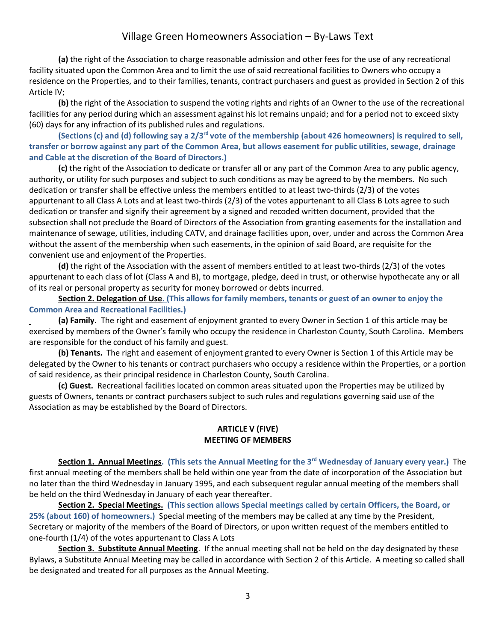**(a)** the right of the Association to charge reasonable admission and other fees for the use of any recreational facility situated upon the Common Area and to limit the use of said recreational facilities to Owners who occupy a residence on the Properties, and to their families, tenants, contract purchasers and guest as provided in Section 2 of this Article IV;

**(b)** the right of the Association to suspend the voting rights and rights of an Owner to the use of the recreational facilities for any period during which an assessment against his lot remains unpaid; and for a period not to exceed sixty (60) days for any infraction of its published rules and regulations.

**(Sections (c) and (d) following say a 2/3rd vote of the membership (about 426 homeowners) is required to sell, transfer or borrow against any part of the Common Area, but allows easement for public utilities, sewage, drainage and Cable at the discretion of the Board of Directors.)** 

**(c)** the right of the Association to dedicate or transfer all or any part of the Common Area to any public agency, authority, or utility for such purposes and subject to such conditions as may be agreed to by the members. No such dedication or transfer shall be effective unless the members entitled to at least two-thirds (2/3) of the votes appurtenant to all Class A Lots and at least two-thirds (2/3) of the votes appurtenant to all Class B Lots agree to such dedication or transfer and signify their agreement by a signed and recoded written document, provided that the subsection shall not preclude the Board of Directors of the Association from granting easements for the installation and maintenance of sewage, utilities, including CATV, and drainage facilities upon, over, under and across the Common Area without the assent of the membership when such easements, in the opinion of said Board, are requisite for the convenient use and enjoyment of the Properties.

**(d)** the right of the Association with the assent of members entitled to at least two-thirds (2/3) of the votes appurtenant to each class of lot (Class A and B), to mortgage, pledge, deed in trust, or otherwise hypothecate any or all of its real or personal property as security for money borrowed or debts incurred.

**Section 2. Delegation of Use. (This allows for family members, tenants or guest of an owner to enjoy the Common Area and Recreational Facilities.)**

**(a) Family.** The right and easement of enjoyment granted to every Owner in Section 1 of this article may be exercised by members of the Owner's family who occupy the residence in Charleston County, South Carolina. Members are responsible for the conduct of his family and guest.

**(b) Tenants.** The right and easement of enjoyment granted to every Owner is Section 1 of this Article may be delegated by the Owner to his tenants or contract purchasers who occupy a residence within the Properties, or a portion of said residence, as their principal residence in Charleston County, South Carolina.

**(c) Guest.** Recreational facilities located on common areas situated upon the Properties may be utilized by guests of Owners, tenants or contract purchasers subject to such rules and regulations governing said use of the Association as may be established by the Board of Directors.

### **ARTICLE V (FIVE) MEETING OF MEMBERS**

**Section 1. Annual Meetings. (This sets the Annual Meeting for the 3rd Wednesday of January every year.)** The first annual meeting of the members shall be held within one year from the date of incorporation of the Association but no later than the third Wednesday in January 1995, and each subsequent regular annual meeting of the members shall be held on the third Wednesday in January of each year thereafter.

**Section 2. Special Meetings. (This section allows Special meetings called by certain Officers, the Board, or 25% (about 160) of homeowners.)** Special meeting of the members may be called at any time by the President, Secretary or majority of the members of the Board of Directors, or upon written request of the members entitled to one-fourth (1/4) of the votes appurtenant to Class A Lots

**Section 3. Substitute Annual Meeting**. If the annual meeting shall not be held on the day designated by these Bylaws, a Substitute Annual Meeting may be called in accordance with Section 2 of this Article. A meeting so called shall be designated and treated for all purposes as the Annual Meeting.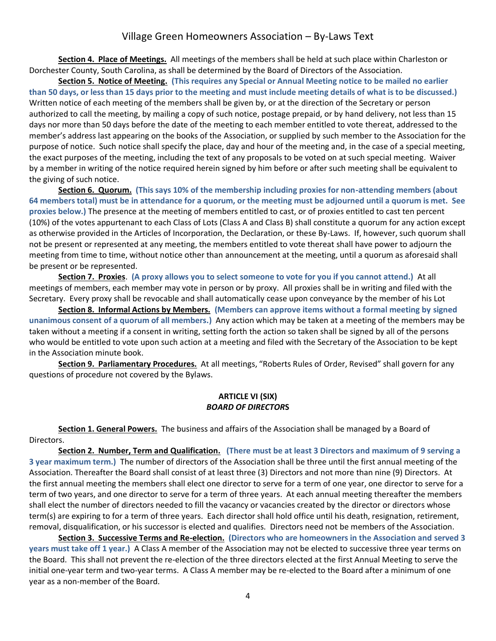**Section 4. Place of Meetings.** All meetings of the members shall be held at such place within Charleston or Dorchester County, South Carolina, as shall be determined by the Board of Directors of the Association.

**Section 5. Notice of Meeting. (This requires any Special or Annual Meeting notice to be mailed no earlier than 50 days, or less than 15 days prior to the meeting and must include meeting details of what is to be discussed.)** Written notice of each meeting of the members shall be given by, or at the direction of the Secretary or person authorized to call the meeting, by mailing a copy of such notice, postage prepaid, or by hand delivery, not less than 15 days nor more than 50 days before the date of the meeting to each member entitled to vote thereat, addressed to the member's address last appearing on the books of the Association, or supplied by such member to the Association for the purpose of notice. Such notice shall specify the place, day and hour of the meeting and, in the case of a special meeting, the exact purposes of the meeting, including the text of any proposals to be voted on at such special meeting. Waiver by a member in writing of the notice required herein signed by him before or after such meeting shall be equivalent to the giving of such notice.

**Section 6. Quorum. (This says 10% of the membership including proxies for non-attending members (about 64 members total) must be in attendance for a quorum, or the meeting must be adjourned until a quorum is met. See proxies below.)** The presence at the meeting of members entitled to cast, or of proxies entitled to cast ten percent (10%) of the votes appurtenant to each Class of Lots (Class A and Class B) shall constitute a quorum for any action except as otherwise provided in the Articles of Incorporation, the Declaration, or these By-Laws. If, however, such quorum shall not be present or represented at any meeting, the members entitled to vote thereat shall have power to adjourn the meeting from time to time, without notice other than announcement at the meeting, until a quorum as aforesaid shall be present or be represented.

**Section 7. Proxies**. **(A proxy allows you to select someone to vote for you if you cannot attend.)** At all meetings of members, each member may vote in person or by proxy. All proxies shall be in writing and filed with the Secretary. Every proxy shall be revocable and shall automatically cease upon conveyance by the member of his Lot

**Section 8. Informal Actions by Members. (Members can approve items without a formal meeting by signed unanimous consent of a quorum of all members.)** Any action which may be taken at a meeting of the members may be taken without a meeting if a consent in writing, setting forth the action so taken shall be signed by all of the persons who would be entitled to vote upon such action at a meeting and filed with the Secretary of the Association to be kept in the Association minute book.

**Section 9. Parliamentary Procedures.** At all meetings, "Roberts Rules of Order, Revised" shall govern for any questions of procedure not covered by the Bylaws.

#### **ARTICLE VI (SIX)** *BOARD OF DIRECTOR***S**

**Section 1. General Powers.** The business and affairs of the Association shall be managed by a Board of Directors.

**Section 2. Number, Term and Qualification. (There must be at least 3 Directors and maximum of 9 serving a 3 year maximum term.)** The number of directors of the Association shall be three until the first annual meeting of the Association. Thereafter the Board shall consist of at least three (3) Directors and not more than nine (9) Directors. At the first annual meeting the members shall elect one director to serve for a term of one year, one director to serve for a term of two years, and one director to serve for a term of three years. At each annual meeting thereafter the members shall elect the number of directors needed to fill the vacancy or vacancies created by the director or directors whose term(s) are expiring to for a term of three years. Each director shall hold office until his death, resignation, retirement, removal, disqualification, or his successor is elected and qualifies. Directors need not be members of the Association.

**Section 3. Successive Terms and Re-election. (Directors who are homeowners in the Association and served 3 years must take off 1 year.)** A Class A member of the Association may not be elected to successive three year terms on the Board. This shall not prevent the re-election of the three directors elected at the first Annual Meeting to serve the initial one-year term and two-year terms. A Class A member may be re-elected to the Board after a minimum of one year as a non-member of the Board.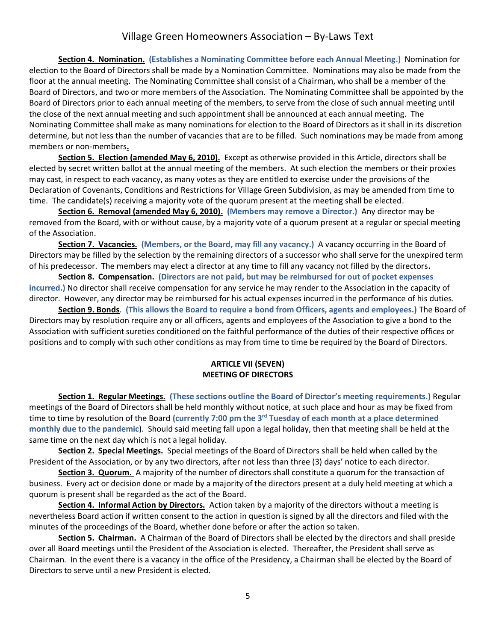**Section 4. Nomination. (Establishes a Nominating Committee before each Annual Meeting.)** Nomination for election to the Board of Directors shall be made by a Nomination Committee. Nominations may also be made from the floor at the annual meeting. The Nominating Committee shall consist of a Chairman, who shall be a member of the Board of Directors, and two or more members of the Association. The Nominating Committee shall be appointed by the Board of Directors prior to each annual meeting of the members, to serve from the close of such annual meeting until the close of the next annual meeting and such appointment shall be announced at each annual meeting. The Nominating Committee shall make as many nominations for election to the Board of Directors as it shall in its discretion determine, but not less than the number of vacancies that are to be filled. Such nominations may be made from among members or non-members**.**

**Section 5. Election (amended May 6, 2010).** Except as otherwise provided in this Article, directors shall be elected by secret written ballot at the annual meeting of the members. At such election the members or their proxies may cast, in respect to each vacancy, as many votes as they are entitled to exercise under the provisions of the Declaration of Covenants, Conditions and Restrictions for Village Green Subdivision, as may be amended from time to time. The candidate(s) receiving a majority vote of the quorum present at the meeting shall be elected.

**Section 6. Removal (amended May 6, 2010). (Members may remove a Director.)** Any director may be removed from the Board, with or without cause, by a majority vote of a quorum present at a regular or special meeting of the Association.

**Section 7. Vacancies. (Members, or the Board, may fill any vacancy.)** A vacancy occurring in the Board of Directors may be filled by the selection by the remaining directors of a successor who shall serve for the unexpired term of his predecessor. The members may elect a director at any time to fill any vacancy not filled by the directors**.**

**Section 8. Compensation. (Directors are not paid, but may be reimbursed for out of pocket expenses incurred.)** No director shall receive compensation for any service he may render to the Association in the capacity of director. However, any director may be reimbursed for his actual expenses incurred in the performance of his duties.

**Section 9. Bonds**. **(This allows the Board to require a bond from Officers, agents and employees.)** The Board of Directors may by resolution require any or all officers, agents and employees of the Association to give a bond to the Association with sufficient sureties conditioned on the faithful performance of the duties of their respective offices or positions and to comply with such other conditions as may from time to time be required by the Board of Directors.

### **ARTICLE VII (SEVEN) MEETING OF DIRECTORS**

**Section 1. Regular Meetings. (These sections outline the Board of Director's meeting requirements.)** Regular meetings of the Board of Directors shall be held monthly without notice, at such place and hour as may be fixed from time to time by resolution of the Board **(currently 7:00 pm the 3rd Tuesday of each month at a place determined monthly due to the pandemic**). Should said meeting fall upon a legal holiday, then that meeting shall be held at the same time on the next day which is not a legal holiday.

**Section 2. Special Meetings.** Special meetings of the Board of Directors shall be held when called by the President of the Association, or by any two directors, after not less than three (3) days' notice to each director.

**Section 3. Quorum.** A majority of the number of directors shall constitute a quorum for the transaction of business. Every act or decision done or made by a majority of the directors present at a duly held meeting at which a quorum is present shall be regarded as the act of the Board.

**Section 4. Informal Action by Directors.** Action taken by a majority of the directors without a meeting is nevertheless Board action if written consent to the action in question is signed by all the directors and filed with the minutes of the proceedings of the Board, whether done before or after the action so taken.

**Section 5. Chairman.** A Chairman of the Board of Directors shall be elected by the directors and shall preside over all Board meetings until the President of the Association is elected. Thereafter, the President shall serve as Chairman. In the event there is a vacancy in the office of the Presidency, a Chairman shall be elected by the Board of Directors to serve until a new President is elected.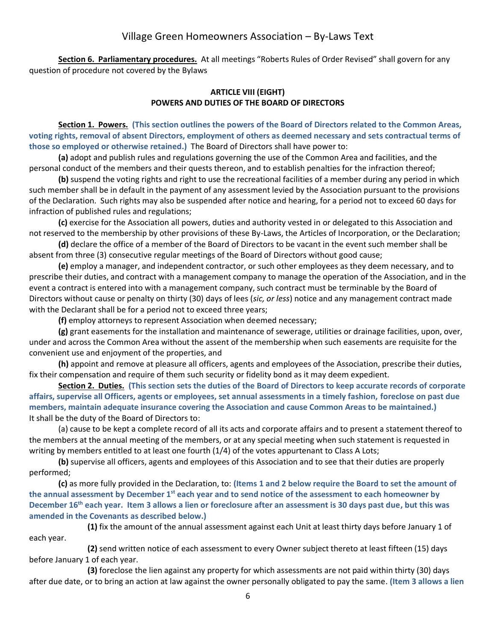**Section 6. Parliamentary procedures.** At all meetings "Roberts Rules of Order Revised" shall govern for any question of procedure not covered by the Bylaws

#### **ARTICLE VIII (EIGHT) POWERS AND DUTIES OF THE BOARD OF DIRECTORS**

**Section 1. Powers. (This section outlines the powers of the Board of Directors related to the Common Areas, voting rights, removal of absent Directors, employment of others as deemed necessary and sets contractual terms of those so employed or otherwise retained.)** The Board of Directors shall have power to:

**(a)** adopt and publish rules and regulations governing the use of the Common Area and facilities, and the personal conduct of the members and their quests thereon, and to establish penalties for the infraction thereof;

**(b)** suspend the voting rights and right to use the recreational facilities of a member during any period in which such member shall be in default in the payment of any assessment levied by the Association pursuant to the provisions of the Declaration. Such rights may also be suspended after notice and hearing, for a period not to exceed 60 days for infraction of published rules and regulations;

**(c)** exercise for the Association all powers, duties and authority vested in or delegated to this Association and not reserved to the membership by other provisions of these By-Laws, the Articles of Incorporation, or the Declaration;

**(d)** declare the office of a member of the Board of Directors to be vacant in the event such member shall be absent from three (3) consecutive regular meetings of the Board of Directors without good cause;

**(e)** employ a manager, and independent contractor, or such other employees as they deem necessary, and to prescribe their duties, and contract with a management company to manage the operation of the Association, and in the event a contract is entered into with a management company, such contract must be terminable by the Board of Directors without cause or penalty on thirty (30) days of lees (*sic, or less*) notice and any management contract made with the Declarant shall be for a period not to exceed three years;

**(f)** employ attorneys to represent Association when deemed necessary;

**(g)** grant easements for the installation and maintenance of sewerage, utilities or drainage facilities, upon, over, under and across the Common Area without the assent of the membership when such easements are requisite for the convenient use and enjoyment of the properties, and

**(h)** appoint and remove at pleasure all officers, agents and employees of the Association, prescribe their duties, fix their compensation and require of them such security or fidelity bond as it may deem expedient.

**Section 2. Duties. (This section sets the duties of the Board of Directors to keep accurate records of corporate affairs, supervise all Officers, agents or employees, set annual assessments in a timely fashion, foreclose on past due members, maintain adequate insurance covering the Association and cause Common Areas to be maintained.)** It shall be the duty of the Board of Directors to:

(a) cause to be kept a complete record of all its acts and corporate affairs and to present a statement thereof to the members at the annual meeting of the members, or at any special meeting when such statement is requested in writing by members entitled to at least one fourth (1/4) of the votes appurtenant to Class A Lots;

**(b)** supervise all officers, agents and employees of this Association and to see that their duties are properly performed;

**(c)** as more fully provided in the Declaration, to: **(Items 1 and 2 below require the Board to set the amount of the annual assessment by December 1st each year and to send notice of the assessment to each homeowner by December 16th each year. Item 3 allows a lien or foreclosure after an assessment is 30 days past due, but this was amended in the Covenants as described below.)**

**(1)** fix the amount of the annual assessment against each Unit at least thirty days before January 1 of each year.

**(2)** send written notice of each assessment to every Owner subject thereto at least fifteen (15) days before January 1 of each year.

**(3)** foreclose the lien against any property for which assessments are not paid within thirty (30) days after due date, or to bring an action at law against the owner personally obligated to pay the same. **(Item 3 allows a lien**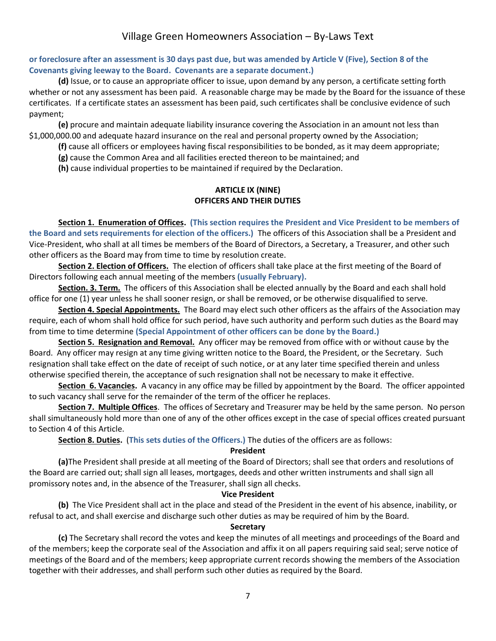### **or foreclosure after an assessment is 30 days past due, but was amended by Article V (Five), Section 8 of the Covenants giving leeway to the Board. Covenants are a separate document.)**

**(d)** Issue, or to cause an appropriate officer to issue, upon demand by any person, a certificate setting forth whether or not any assessment has been paid. A reasonable charge may be made by the Board for the issuance of these certificates. If a certificate states an assessment has been paid, such certificates shall be conclusive evidence of such payment;

**(e)** procure and maintain adequate liability insurance covering the Association in an amount not less than \$1,000,000.00 and adequate hazard insurance on the real and personal property owned by the Association;

**(f)** cause all officers or employees having fiscal responsibilities to be bonded, as it may deem appropriate;

**(g)** cause the Common Area and all facilities erected thereon to be maintained; and

**(h)** cause individual properties to be maintained if required by the Declaration.

### **ARTICLE IX (NINE) OFFICERS AND THEIR DUTIES**

**Section 1. Enumeration of Offices. (This section requires the President and Vice President to be members of the Board and sets requirements for election of the officers.)** The officers of this Association shall be a President and Vice-President, who shall at all times be members of the Board of Directors, a Secretary, a Treasurer, and other such other officers as the Board may from time to time by resolution create.

**Section 2. Election of Officers.** The election of officers shall take place at the first meeting of the Board of Directors following each annual meeting of the members **(usually February).**

**Section. 3. Term.** The officers of this Association shall be elected annually by the Board and each shall hold office for one (1) year unless he shall sooner resign, or shall be removed, or be otherwise disqualified to serve.

**Section 4. Special Appointments.** The Board may elect such other officers as the affairs of the Association may require, each of whom shall hold office for such period, have such authority and perform such duties as the Board may from time to time determine **(Special Appointment of other officers can be done by the Board.)**

**Section 5. Resignation and Removal.** Any officer may be removed from office with or without cause by the Board. Any officer may resign at any time giving written notice to the Board, the President, or the Secretary. Such resignation shall take effect on the date of receipt of such notice, or at any later time specified therein and unless otherwise specified therein, the acceptance of such resignation shall not be necessary to make it effective.

**Section 6. Vacancies.** A vacancy in any office may be filled by appointment by the Board. The officer appointed to such vacancy shall serve for the remainder of the term of the officer he replaces.

**Section 7. Multiple Offices**. The offices of Secretary and Treasurer may be held by the same person. No person shall simultaneously hold more than one of any of the other offices except in the case of special offices created pursuant to Section 4 of this Article.

**Section 8. Duties.** (**This sets duties of the Officers.)** The duties of the officers are as follows:

#### **President**

**(a)**The President shall preside at all meeting of the Board of Directors; shall see that orders and resolutions of the Board are carried out; shall sign all leases, mortgages, deeds and other written instruments and shall sign all promissory notes and, in the absence of the Treasurer, shall sign all checks.

#### **Vice President**

**(b)** The Vice President shall act in the place and stead of the President in the event of his absence, inability, or refusal to act, and shall exercise and discharge such other duties as may be required of him by the Board.

#### **Secretary**

**(c)** The Secretary shall record the votes and keep the minutes of all meetings and proceedings of the Board and of the members; keep the corporate seal of the Association and affix it on all papers requiring said seal; serve notice of meetings of the Board and of the members; keep appropriate current records showing the members of the Association together with their addresses, and shall perform such other duties as required by the Board.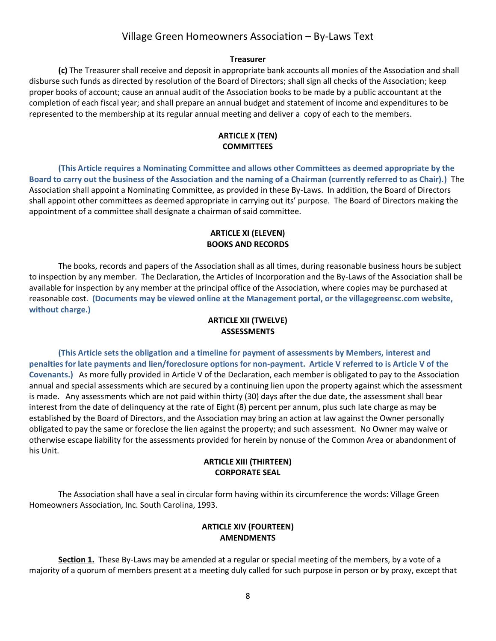#### **Treasurer**

**(c)** The Treasurer shall receive and deposit in appropriate bank accounts all monies of the Association and shall disburse such funds as directed by resolution of the Board of Directors; shall sign all checks of the Association; keep proper books of account; cause an annual audit of the Association books to be made by a public accountant at the completion of each fiscal year; and shall prepare an annual budget and statement of income and expenditures to be represented to the membership at its regular annual meeting and deliver a copy of each to the members.

#### **ARTICLE X (TEN) COMMITTEES**

**(This Article requires a Nominating Committee and allows other Committees as deemed appropriate by the Board to carry out the business of the Association and the naming of a Chairman (currently referred to as Chair).)** The Association shall appoint a Nominating Committee, as provided in these By-Laws. In addition, the Board of Directors shall appoint other committees as deemed appropriate in carrying out its' purpose. The Board of Directors making the appointment of a committee shall designate a chairman of said committee.

#### **ARTICLE XI (ELEVEN) BOOKS AND RECORDS**

The books, records and papers of the Association shall as all times, during reasonable business hours be subject to inspection by any member. The Declaration, the Articles of Incorporation and the By-Laws of the Association shall be available for inspection by any member at the principal office of the Association, where copies may be purchased at reasonable cost. **(Documents may be viewed online at the Management portal, or the villagegreensc.com website, without charge.)**

### **ARTICLE XII (TWELVE) ASSESSMENTS**

**(This Article sets the obligation and a timeline for payment of assessments by Members, interest and penalties for late payments and lien/foreclosure options for non-payment. Article V referred to is Article V of the Covenants.)** As more fully provided in Article V of the Declaration, each member is obligated to pay to the Association annual and special assessments which are secured by a continuing lien upon the property against which the assessment is made. Any assessments which are not paid within thirty (30) days after the due date, the assessment shall bear interest from the date of delinquency at the rate of Eight (8) percent per annum, plus such late charge as may be established by the Board of Directors, and the Association may bring an action at law against the Owner personally obligated to pay the same or foreclose the lien against the property; and such assessment. No Owner may waive or otherwise escape liability for the assessments provided for herein by nonuse of the Common Area or abandonment of his Unit.

#### **ARTICLE XIII (THIRTEEN) CORPORATE SEAL**

The Association shall have a seal in circular form having within its circumference the words: Village Green Homeowners Association, Inc. South Carolina, 1993.

### **ARTICLE XIV (FOURTEEN) AMENDMENTS**

**Section 1.** These By-Laws may be amended at a regular or special meeting of the members, by a vote of a majority of a quorum of members present at a meeting duly called for such purpose in person or by proxy, except that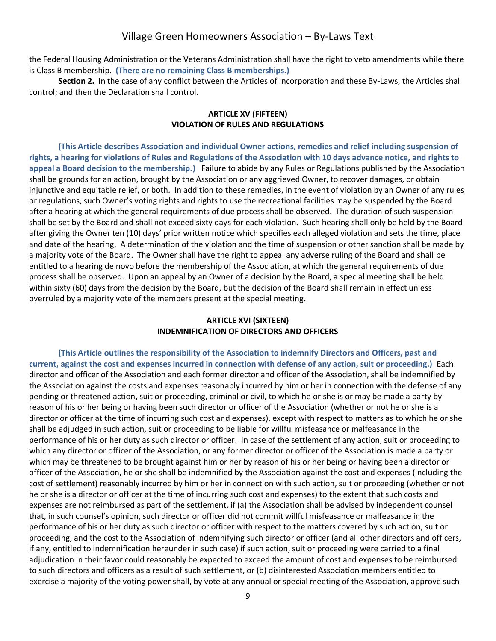the Federal Housing Administration or the Veterans Administration shall have the right to veto amendments while there is Class B membership. **(There are no remaining Class B memberships.)**

**Section 2.** In the case of any conflict between the Articles of Incorporation and these By-Laws, the Articles shall control; and then the Declaration shall control.

#### **ARTICLE XV (FIFTEEN) VIOLATION OF RULES AND REGULATIONS**

**(This Article describes Association and individual Owner actions, remedies and relief including suspension of rights, a hearing for violations of Rules and Regulations of the Association with 10 days advance notice, and rights to appeal a Board decision to the membership.)** Failure to abide by any Rules or Regulations published by the Association shall be grounds for an action, brought by the Association or any aggrieved Owner, to recover damages, or obtain injunctive and equitable relief, or both. In addition to these remedies, in the event of violation by an Owner of any rules or regulations, such Owner's voting rights and rights to use the recreational facilities may be suspended by the Board after a hearing at which the general requirements of due process shall be observed. The duration of such suspension shall be set by the Board and shall not exceed sixty days for each violation. Such hearing shall only be held by the Board after giving the Owner ten (10) days' prior written notice which specifies each alleged violation and sets the time, place and date of the hearing. A determination of the violation and the time of suspension or other sanction shall be made by a majority vote of the Board. The Owner shall have the right to appeal any adverse ruling of the Board and shall be entitled to a hearing de novo before the membership of the Association, at which the general requirements of due process shall be observed. Upon an appeal by an Owner of a decision by the Board, a special meeting shall be held within sixty (60) days from the decision by the Board, but the decision of the Board shall remain in effect unless overruled by a majority vote of the members present at the special meeting.

### **ARTICLE XVI (SIXTEEN) INDEMNIFICATION OF DIRECTORS AND OFFICERS**

**(This Article outlines the responsibility of the Association to indemnify Directors and Officers, past and current, against the cost and expenses incurred in connection with defense of any action, suit or proceeding.)** Each director and officer of the Association and each former director and officer of the Association, shall be indemnified by the Association against the costs and expenses reasonably incurred by him or her in connection with the defense of any pending or threatened action, suit or proceeding, criminal or civil, to which he or she is or may be made a party by reason of his or her being or having been such director or officer of the Association (whether or not he or she is a director or officer at the time of incurring such cost and expenses), except with respect to matters as to which he or she shall be adjudged in such action, suit or proceeding to be liable for willful misfeasance or malfeasance in the performance of his or her duty as such director or officer. In case of the settlement of any action, suit or proceeding to which any director or officer of the Association, or any former director or officer of the Association is made a party or which may be threatened to be brought against him or her by reason of his or her being or having been a director or officer of the Association, he or she shall be indemnified by the Association against the cost and expenses (including the cost of settlement) reasonably incurred by him or her in connection with such action, suit or proceeding (whether or not he or she is a director or officer at the time of incurring such cost and expenses) to the extent that such costs and expenses are not reimbursed as part of the settlement, if (a) the Association shall be advised by independent counsel that, in such counsel's opinion, such director or officer did not commit willful misfeasance or malfeasance in the performance of his or her duty as such director or officer with respect to the matters covered by such action, suit or proceeding, and the cost to the Association of indemnifying such director or officer (and all other directors and officers, if any, entitled to indemnification hereunder in such case) if such action, suit or proceeding were carried to a final adjudication in their favor could reasonably be expected to exceed the amount of cost and expenses to be reimbursed to such directors and officers as a result of such settlement, or (b) disinterested Association members entitled to exercise a majority of the voting power shall, by vote at any annual or special meeting of the Association, approve such